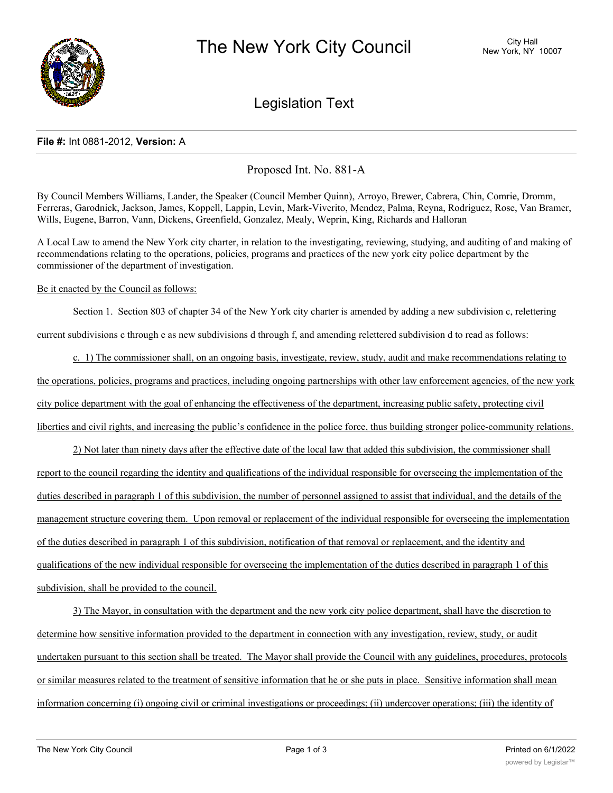

# Legislation Text

## **File #:** Int 0881-2012, **Version:** A

Proposed Int. No. 881-A

By Council Members Williams, Lander, the Speaker (Council Member Quinn), Arroyo, Brewer, Cabrera, Chin, Comrie, Dromm, Ferreras, Garodnick, Jackson, James, Koppell, Lappin, Levin, Mark-Viverito, Mendez, Palma, Reyna, Rodriguez, Rose, Van Bramer, Wills, Eugene, Barron, Vann, Dickens, Greenfield, Gonzalez, Mealy, Weprin, King, Richards and Halloran

A Local Law to amend the New York city charter, in relation to the investigating, reviewing, studying, and auditing of and making of recommendations relating to the operations, policies, programs and practices of the new york city police department by the commissioner of the department of investigation.

### Be it enacted by the Council as follows:

Section 1. Section 803 of chapter 34 of the New York city charter is amended by adding a new subdivision c, relettering

current subdivisions c through e as new subdivisions d through f, and amending relettered subdivision d to read as follows:

c. 1) The commissioner shall, on an ongoing basis, investigate, review, study, audit and make recommendations relating to the operations, policies, programs and practices, including ongoing partnerships with other law enforcement agencies, of the new york city police department with the goal of enhancing the effectiveness of the department, increasing public safety, protecting civil liberties and civil rights, and increasing the public's confidence in the police force, thus building stronger police-community relations.

2) Not later than ninety days after the effective date of the local law that added this subdivision, the commissioner shall report to the council regarding the identity and qualifications of the individual responsible for overseeing the implementation of the duties described in paragraph 1 of this subdivision, the number of personnel assigned to assist that individual, and the details of the management structure covering them. Upon removal or replacement of the individual responsible for overseeing the implementation of the duties described in paragraph 1 of this subdivision, notification of that removal or replacement, and the identity and qualifications of the new individual responsible for overseeing the implementation of the duties described in paragraph 1 of this subdivision, shall be provided to the council.

3) The Mayor, in consultation with the department and the new york city police department, shall have the discretion to determine how sensitive information provided to the department in connection with any investigation, review, study, or audit undertaken pursuant to this section shall be treated. The Mayor shall provide the Council with any guidelines, procedures, protocols or similar measures related to the treatment of sensitive information that he or she puts in place. Sensitive information shall mean information concerning (i) ongoing civil or criminal investigations or proceedings; (ii) undercover operations; (iii) the identity of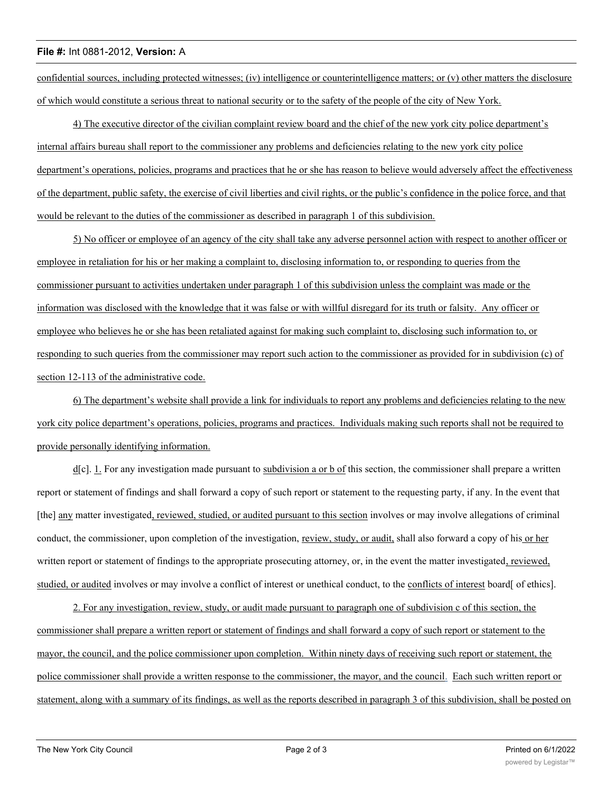### **File #:** Int 0881-2012, **Version:** A

confidential sources, including protected witnesses; (iv) intelligence or counterintelligence matters; or (v) other matters the disclosure of which would constitute a serious threat to national security or to the safety of the people of the city of New York.

4) The executive director of the civilian complaint review board and the chief of the new york city police department's internal affairs bureau shall report to the commissioner any problems and deficiencies relating to the new york city police department's operations, policies, programs and practices that he or she has reason to believe would adversely affect the effectiveness of the department, public safety, the exercise of civil liberties and civil rights, or the public's confidence in the police force, and that would be relevant to the duties of the commissioner as described in paragraph 1 of this subdivision.

5) No officer or employee of an agency of the city shall take any adverse personnel action with respect to another officer or employee in retaliation for his or her making a complaint to, disclosing information to, or responding to queries from the commissioner pursuant to activities undertaken under paragraph 1 of this subdivision unless the complaint was made or the information was disclosed with the knowledge that it was false or with willful disregard for its truth or falsity. Any officer or employee who believes he or she has been retaliated against for making such complaint to, disclosing such information to, or responding to such queries from the commissioner may report such action to the commissioner as provided for in subdivision (c) of section 12-113 of the administrative code.

6) The department's website shall provide a link for individuals to report any problems and deficiencies relating to the new york city police department's operations, policies, programs and practices. Individuals making such reports shall not be required to provide personally identifying information.

d[c]. 1. For any investigation made pursuant to subdivision a or b of this section, the commissioner shall prepare a written report or statement of findings and shall forward a copy of such report or statement to the requesting party, if any. In the event that [the] any matter investigated, reviewed, studied, or audited pursuant to this section involves or may involve allegations of criminal conduct, the commissioner, upon completion of the investigation, review, study, or audit, shall also forward a copy of his or her written report or statement of findings to the appropriate prosecuting attorney, or, in the event the matter investigated, reviewed, studied, or audited involves or may involve a conflict of interest or unethical conduct, to the conflicts of interest board [ of ethics].

2. For any investigation, review, study, or audit made pursuant to paragraph one of subdivision c of this section, the commissioner shall prepare a written report or statement of findings and shall forward a copy of such report or statement to the mayor, the council, and the police commissioner upon completion. Within ninety days of receiving such report or statement, the police commissioner shall provide a written response to the commissioner, the mayor, and the council. Each such written report or statement, along with a summary of its findings, as well as the reports described in paragraph 3 of this subdivision, shall be posted on